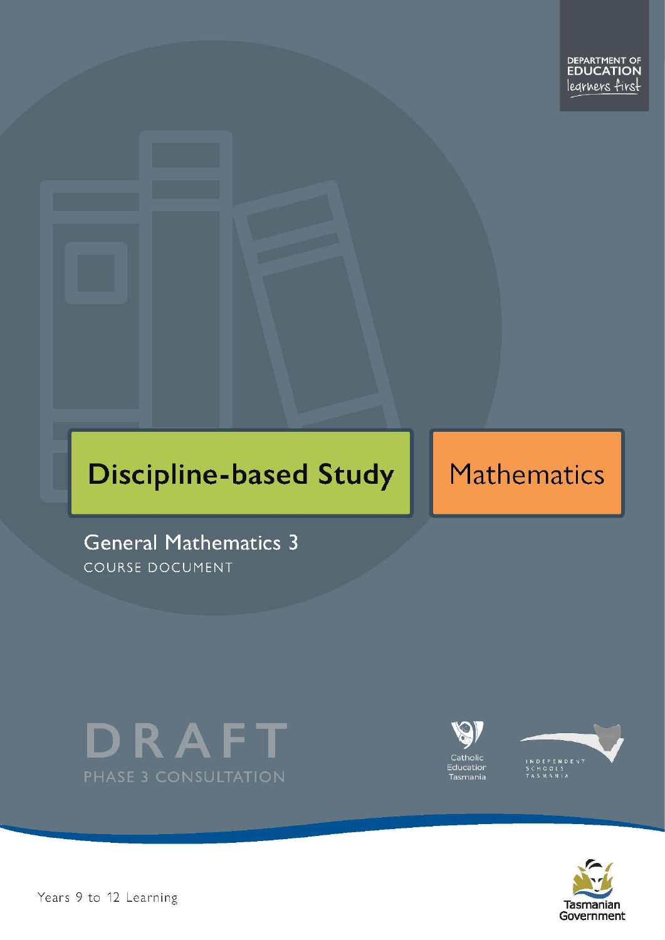# **Discipline-based Study**

# Mathematics

**General Mathematics 3** COURSE DOCUMENT









Pears 9 to 12 Learning – George 2 December – General Mathematics Level 3 Passengeral Mathematics Level 3 Passengeral Mathematics Level 3 Passengeral Mathematics Level 3 Passengeral Mathematics Level 3 Passengeral Mathemati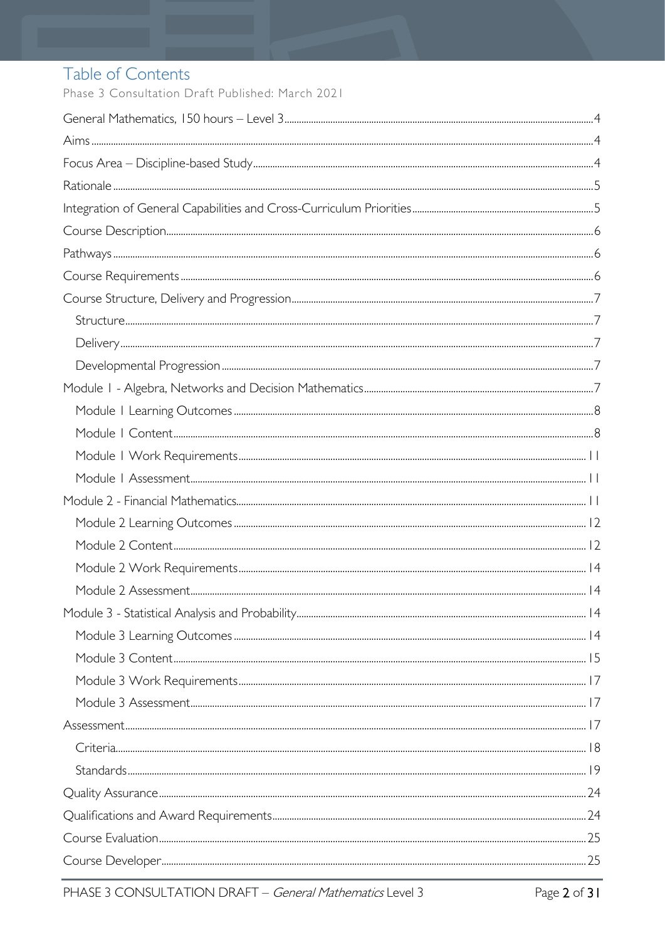# Table of Contents

Phase 3 Consultation Draft Published: March 2021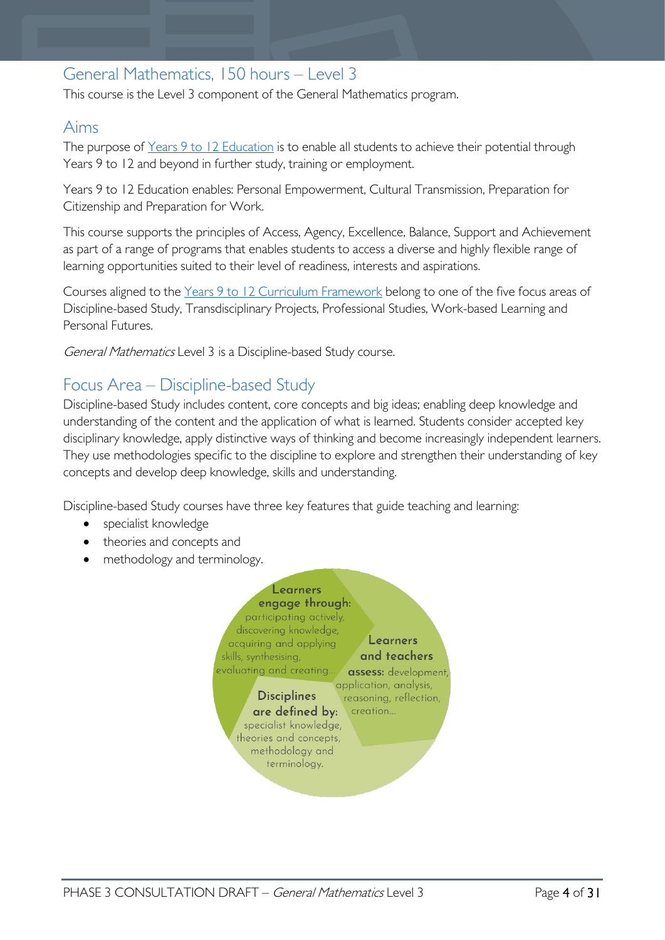# <span id="page-3-0"></span>General Mathematics, 150 hours – Level 3

This course is the Level 3 component of the General Mathematics program.

# <span id="page-3-1"></span>Aims

The purpose of Years 9 to 12 [Education](https://publicdocumentcentre.education.tas.gov.au/library/Shared%20Documents/Years-9-to-12-Education-Framework.pdf) is to enable all students to achieve their potential through Years 9 to 12 and beyond in further study, training or employment.

Years 9 to 12 Education enables: Personal Empowerment, Cultural Transmission, Preparation for Citizenship and Preparation for Work.

This course supports the principles of Access, Agency, Excellence, Balance, Support and Achievement as part of a range of programs that enables students to access a diverse and highly flexible range of learning opportunities suited to their level of readiness, interests and aspirations.

Courses aligned to the Years 9 to 12 Curriculum [Framework](https://publicdocumentcentre.education.tas.gov.au/library/Shared%20Documents/Education%209-12%20Frameworks%20A3%20WEB%20POSTER.pdf) belong to one of the five focus areas of Discipline-based Study, Transdisciplinary Projects, Professional Studies, Work-based Learning and Personal Futures.

General Mathematics Level 3 is a Discipline-based Study course.

# <span id="page-3-2"></span>Focus Area – Discipline-based Study

Discipline-based Study includes content, core concepts and big ideas; enabling deep knowledge and understanding of the content and the application of what is learned. Students consider accepted key disciplinary knowledge, apply distinctive ways of thinking and become increasingly independent learners. They use methodologies specific to the discipline to explore and strengthen their understanding of key concepts and develop deep knowledge, skills and understanding.

Discipline-based Study courses have three key features that guide teaching and learning:

- specialist knowledge
- theories and concepts and
- methodology and terminology.

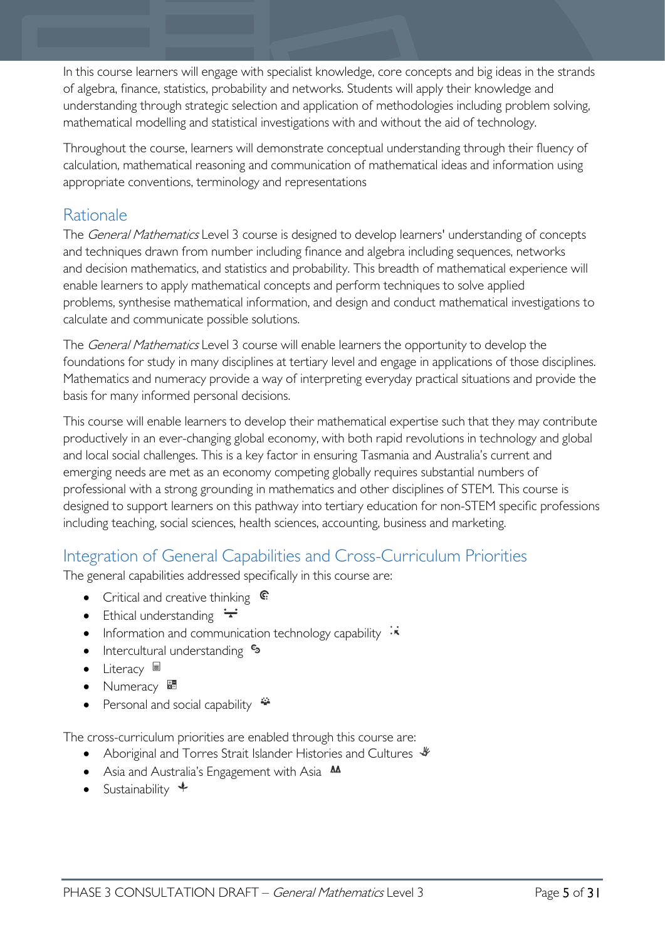In this course learners will engage with specialist knowledge, core concepts and big ideas in the strands of algebra, finance, statistics, probability and networks. Students will apply their knowledge and understanding through strategic selection and application of methodologies including problem solving, mathematical modelling and statistical investigations with and without the aid of technology.

Throughout the course, learners will demonstrate conceptual understanding through their fluency of calculation, mathematical reasoning and communication of mathematical ideas and information using appropriate conventions, terminology and representations

# <span id="page-4-0"></span>Rationale

The *General Mathematics* Level 3 course is designed to develop learners' understanding of concepts and techniques drawn from number including finance and algebra including sequences, networks and decision mathematics, and statistics and probability. This breadth of mathematical experience will enable learners to apply mathematical concepts and perform techniques to solve applied problems, synthesise mathematical information, and design and conduct mathematical investigations to calculate and communicate possible solutions.

The *General Mathematics* Level 3 course will enable learners the opportunity to develop the foundations for study in many disciplines at tertiary level and engage in applications of those disciplines. Mathematics and numeracy provide a way of interpreting everyday practical situations and provide the basis for many informed personal decisions.

This course will enable learners to develop their mathematical expertise such that they may contribute productively in an ever-changing global economy, with both rapid revolutions in technology and global and local social challenges. This is a key factor in ensuring Tasmania and Australia's current and emerging needs are met as an economy competing globally requires substantial numbers of professional with a strong grounding in mathematics and other disciplines of STEM. This course is designed to support learners on this pathway into tertiary education for non-STEM specific professions including teaching, social sciences, health sciences, accounting, business and marketing.

# <span id="page-4-1"></span>Integration of General Capabilities and Cross-Curriculum Priorities

The general capabilities addressed specifically in this course are:

- Critical and creative thinking  $\mathbb{C}$
- Ethical understanding  $\div$
- Information and communication technology capability  $\cdot \star$
- Intercultural understanding •
- Literacy  $\blacksquare$
- Numeracy  $\frac{1}{2}$
- Personal and social capability  $\ddot{\ddot{\bullet}}$

The cross-curriculum priorities are enabled through this course are:

- Aboriginal and Torres Strait Islander Histories and Cultures  $\mathcal$
- Asia and Australia's Engagement with Asia **AA**
- Sustainability  $\triangleleft$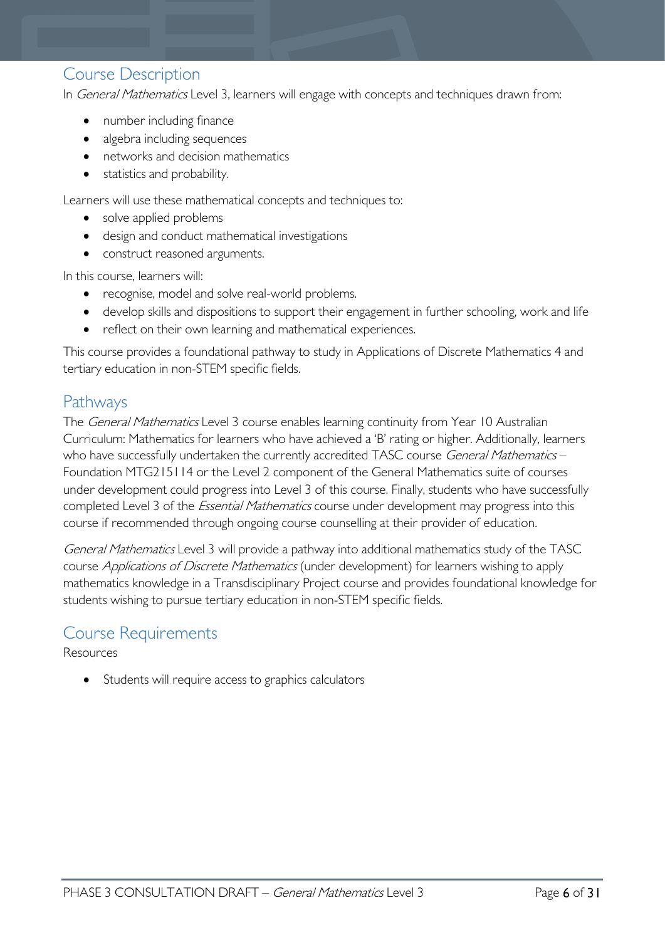# <span id="page-5-0"></span>Course Description

In *General Mathematics* Level 3, learners will engage with concepts and techniques drawn from:

- number including finance
- algebra including sequences
- networks and decision mathematics
- statistics and probability.

Learners will use these mathematical concepts and techniques to:

- solve applied problems
- design and conduct mathematical investigations
- construct reasoned arguments.

In this course, learners will:

- recognise, model and solve real-world problems.
- develop skills and dispositions to support their engagement in further schooling, work and life
- reflect on their own learning and mathematical experiences.

This course provides a foundational pathway to study in Applications of Discrete Mathematics 4 and tertiary education in non-STEM specific fields.

# <span id="page-5-1"></span>Pathways

The General Mathematics Level 3 course enables learning continuity from Year 10 Australian Curriculum: Mathematics for learners who have achieved a 'B' rating or higher. Additionally, learners who have successfully undertaken the currently accredited TASC course General Mathematics -Foundation MTG215114 or the Level 2 component of the General Mathematics suite of courses under development could progress into Level 3 of this course. Finally, students who have successfully completed Level 3 of the *Essential Mathematics* course under development may progress into this course if recommended through ongoing course counselling at their provider of education.

General Mathematics Level 3 will provide a pathway into additional mathematics study of the TASC course *Applications of Discrete Mathematics* (under development) for learners wishing to apply mathematics knowledge in a Transdisciplinary Project course and provides foundational knowledge for students wishing to pursue tertiary education in non-STEM specific fields.

# <span id="page-5-2"></span>Course Requirements

Resources

Students will require access to graphics calculators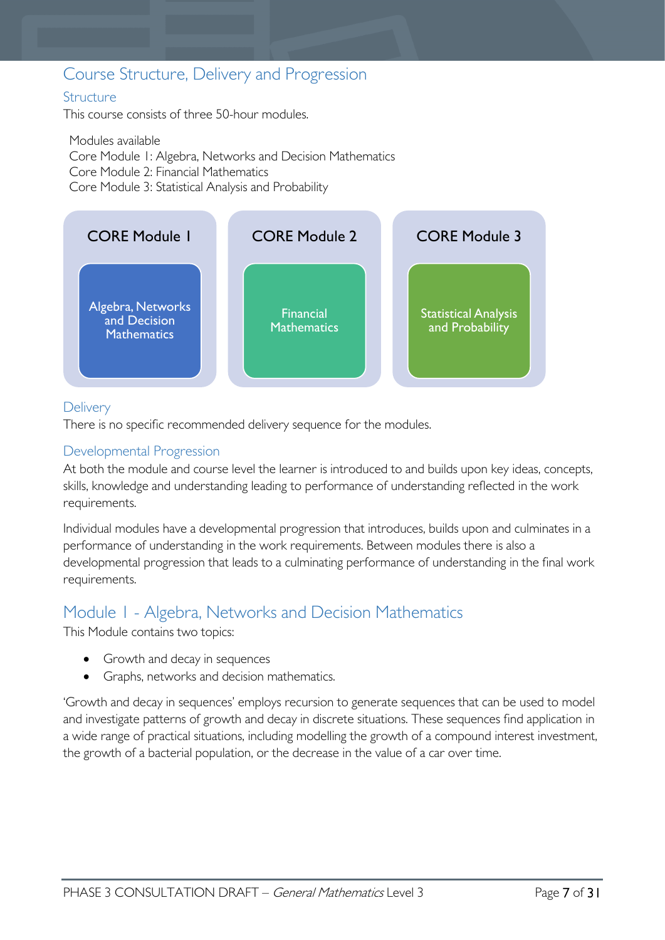# <span id="page-6-0"></span>Course Structure, Delivery and Progression

# <span id="page-6-1"></span>**Structure**

This course consists of three 50-hour modules.

Modules available Core Module 1: Algebra, Networks and Decision Mathematics Core Module 2: Financial Mathematics Core Module 3: Statistical Analysis and Probability



# <span id="page-6-2"></span>**Delivery**

There is no specific recommended delivery sequence for the modules.

### <span id="page-6-3"></span>Developmental Progression

At both the module and course level the learner is introduced to and builds upon key ideas, concepts, skills, knowledge and understanding leading to performance of understanding reflected in the work requirements.

Individual modules have a developmental progression that introduces, builds upon and culminates in a performance of understanding in the work requirements. Between modules there is also a developmental progression that leads to a culminating performance of understanding in the final work requirements.

# <span id="page-6-4"></span>Module 1 - Algebra, Networks and Decision Mathematics

This Module contains two topics:

- Growth and decay in sequences
- Graphs, networks and decision mathematics.

'Growth and decay in sequences' employs recursion to generate sequences that can be used to model and investigate patterns of growth and decay in discrete situations. These sequences find application in a wide range of practical situations, including modelling the growth of a compound interest investment, the growth of a bacterial population, or the decrease in the value of a car over time.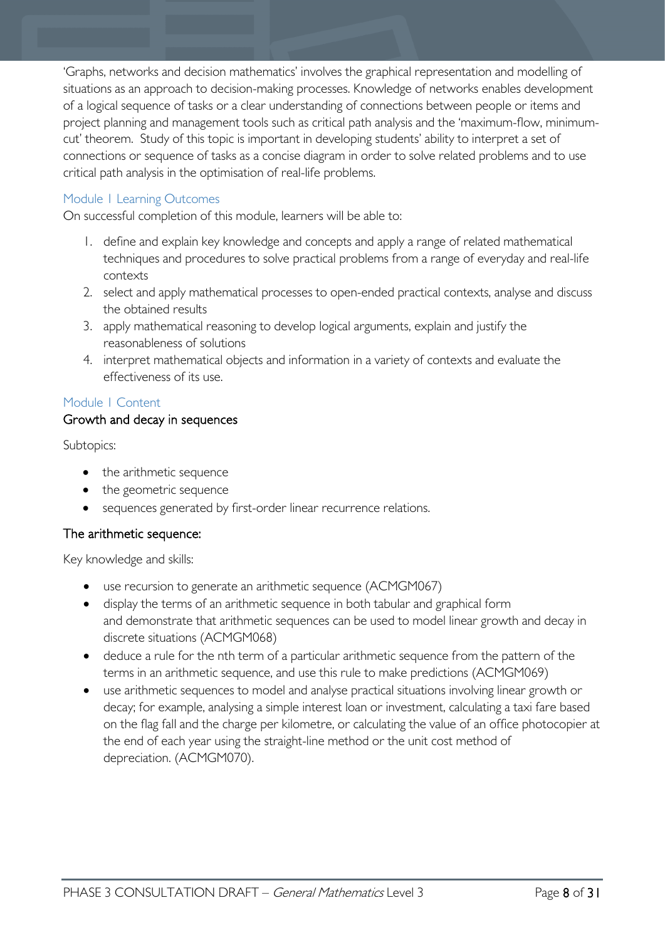'Graphs, networks and decision mathematics' involves the graphical representation and modelling of situations as an approach to decision-making processes. Knowledge of networks enables development of a logical sequence of tasks or a clear understanding of connections between people or items and project planning and management tools such as critical path analysis and the 'maximum-flow, minimumcut' theorem. Study of this topic is important in developing students' ability to interpret a set of connections or sequence of tasks as a concise diagram in order to solve related problems and to use critical path analysis in the optimisation of real-life problems.

### <span id="page-7-0"></span>Module 1 Learning Outcomes

On successful completion of this module, learners will be able to:

- 1. define and explain key knowledge and concepts and apply a range of related mathematical techniques and procedures to solve practical problems from a range of everyday and real-life contexts
- 2. select and apply mathematical processes to open-ended practical contexts, analyse and discuss the obtained results
- 3. apply mathematical reasoning to develop logical arguments, explain and justify the reasonableness of solutions
- 4. interpret mathematical objects and information in a variety of contexts and evaluate the effectiveness of its use.

### <span id="page-7-1"></span>Module 1 Content

### Growth and decay in sequences

Subtopics:

- the arithmetic sequence
- the geometric sequence
- sequences generated by first-order linear recurrence relations.

### The arithmetic sequence:

- use recursion to generate an arithmetic sequence (ACMGM067)
- display the terms of an arithmetic sequence in both tabular and graphical form and demonstrate that arithmetic sequences can be used to model linear growth and decay in discrete situations (ACMGM068)
- deduce a rule for the nth term of a particular arithmetic sequence from the pattern of the terms in an arithmetic sequence, and use this rule to make predictions (ACMGM069)
- use arithmetic sequences to model and analyse practical situations involving linear growth or decay; for example, analysing a simple interest loan or investment, calculating a taxi fare based on the flag fall and the charge per kilometre, or calculating the value of an office photocopier at the end of each year using the straight-line method or the unit cost method of depreciation. (ACMGM070).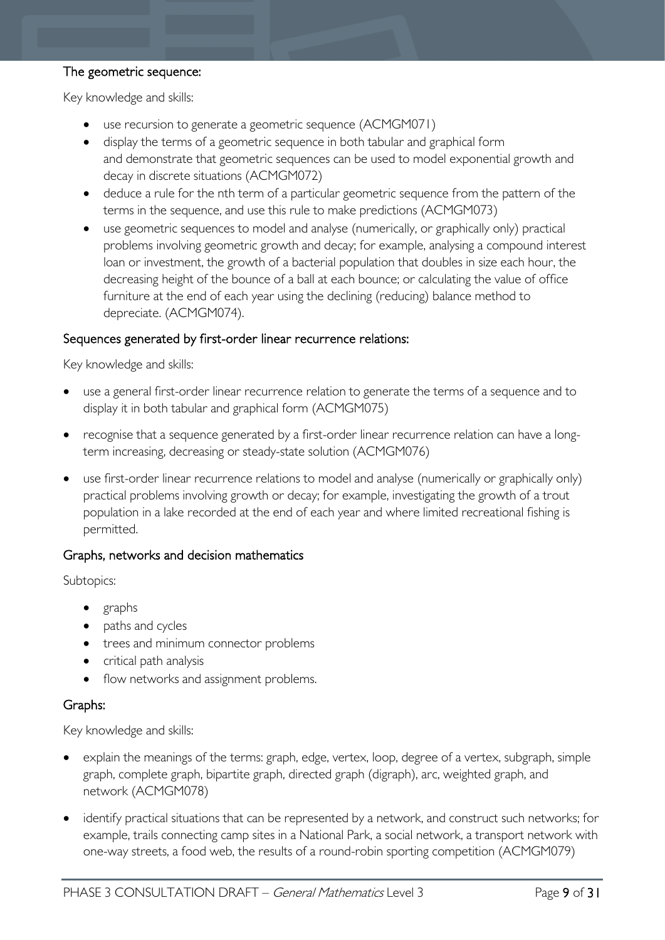### The geometric sequence:

Key knowledge and skills:

- use recursion to generate a geometric sequence (ACMGM071)
- display the terms of a geometric sequence in both tabular and graphical form and demonstrate that geometric sequences can be used to model exponential growth and decay in discrete situations (ACMGM072)
- deduce a rule for the nth term of a particular geometric sequence from the pattern of the terms in the sequence, and use this rule to make predictions (ACMGM073)
- use geometric sequences to model and analyse (numerically, or graphically only) practical problems involving geometric growth and decay; for example, analysing a compound interest loan or investment, the growth of a bacterial population that doubles in size each hour, the decreasing height of the bounce of a ball at each bounce; or calculating the value of office furniture at the end of each year using the declining (reducing) balance method to depreciate. (ACMGM074).

#### Sequences generated by first-order linear recurrence relations:

Key knowledge and skills:

- use a general first-order linear recurrence relation to generate the terms of a sequence and to display it in both tabular and graphical form (ACMGM075)
- recognise that a sequence generated by a first-order linear recurrence relation can have a longterm increasing, decreasing or steady-state solution (ACMGM076)
- use first-order linear recurrence relations to model and analyse (numerically or graphically only) practical problems involving growth or decay; for example, investigating the growth of a trout population in a lake recorded at the end of each year and where limited recreational fishing is permitted.

### Graphs, networks and decision mathematics

Subtopics:

- graphs
- paths and cycles
- trees and minimum connector problems
- critical path analysis
- flow networks and assignment problems.

### Graphs:

- explain the meanings of the terms: graph, edge, vertex, loop, degree of a vertex, subgraph, simple graph, complete graph, bipartite graph, directed graph (digraph), arc, weighted graph, and network (ACMGM078)
- identify practical situations that can be represented by a network, and construct such networks; for example, trails connecting camp sites in a National Park, a social network, a transport network with one-way streets, a food web, the results of a round-robin sporting competition (ACMGM079)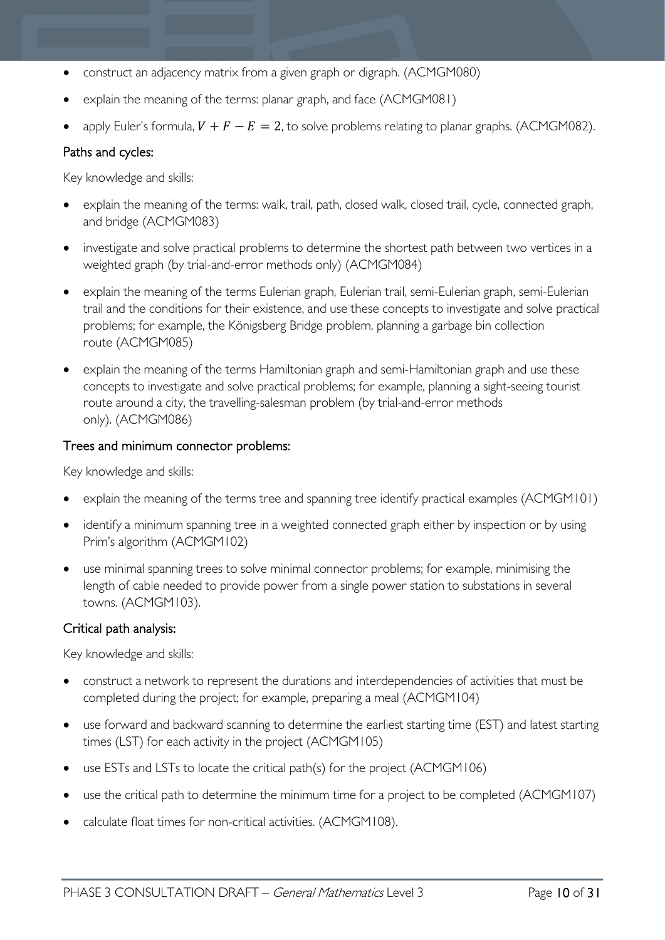- construct an adjacency matrix from a given graph or digraph. (ACMGM080)
- explain the meaning of the terms: planar graph, and face (ACMGM081)
- apply Euler's formula,  $V + F E = 2$ , to solve problems relating to planar graphs. (ACMGM082).

### Paths and cycles:

Key knowledge and skills:

- explain the meaning of the terms: walk, trail, path, closed walk, closed trail, cycle, connected graph, and bridge (ACMGM083)
- investigate and solve practical problems to determine the shortest path between two vertices in a weighted graph (by trial-and-error methods only) (ACMGM084)
- explain the meaning of the terms Eulerian graph, Eulerian trail, semi-Eulerian graph, semi-Eulerian trail and the conditions for their existence, and use these concepts to investigate and solve practical problems; for example, the Königsberg Bridge problem, planning a garbage bin collection route (ACMGM085)
- explain the meaning of the terms Hamiltonian graph and semi-Hamiltonian graph and use these concepts to investigate and solve practical problems; for example, planning a sight-seeing tourist route around a city, the travelling-salesman problem (by trial-and-error methods only). (ACMGM086)

### Trees and minimum connector problems:

Key knowledge and skills:

- explain the meaning of the terms tree and spanning tree identify practical examples (ACMGM101)
- identify a minimum spanning tree in a weighted connected graph either by inspection or by using Prim's algorithm (ACMGM102)
- use minimal spanning trees to solve minimal connector problems; for example, minimising the length of cable needed to provide power from a single power station to substations in several towns. (ACMGM103).

### Critical path analysis:

- construct a network to represent the durations and interdependencies of activities that must be completed during the project; for example, preparing a meal (ACMGM104)
- use forward and backward scanning to determine the earliest starting time (EST) and latest starting times (LST) for each activity in the project (ACMGM105)
- use ESTs and LSTs to locate the critical path(s) for the project (ACMGM106)
- use the critical path to determine the minimum time for a project to be completed (ACMGM107)
- calculate float times for non-critical activities. (ACMGM108).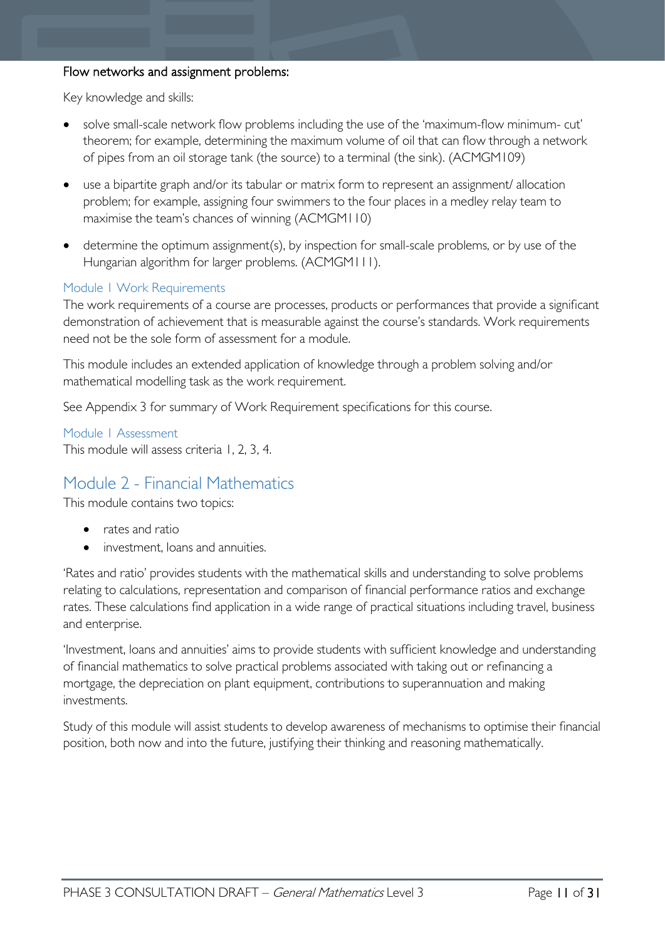### Flow networks and assignment problems:

Key knowledge and skills:

- solve small-scale network flow problems including the use of the 'maximum-flow minimum- cut' theorem; for example, determining the maximum volume of oil that can flow through a network of pipes from an oil storage tank (the source) to a terminal (the sink). (ACMGM109)
- use a bipartite graph and/or its tabular or matrix form to represent an assignment/ allocation problem; for example, assigning four swimmers to the four places in a medley relay team to maximise the team's chances of winning (ACMGM110)
- determine the optimum assignment(s), by inspection for small-scale problems, or by use of the Hungarian algorithm for larger problems. (ACMGM111).

#### <span id="page-10-0"></span>Module 1 Work Requirements

The work requirements of a course are processes, products or performances that provide a significant demonstration of achievement that is measurable against the course's standards. Work requirements need not be the sole form of assessment for a module.

This module includes an extended application of knowledge through a problem solving and/or mathematical modelling task as the work requirement.

See Appendix 3 for summary of Work Requirement specifications for this course.

<span id="page-10-1"></span>Module 1 Assessment This module will assess criteria 1, 2, 3, 4.

# <span id="page-10-2"></span>Module 2 - Financial Mathematics

This module contains two topics:

- rates and ratio
- investment, loans and annuities.

'Rates and ratio' provides students with the mathematical skills and understanding to solve problems relating to calculations, representation and comparison of financial performance ratios and exchange rates. These calculations find application in a wide range of practical situations including travel, business and enterprise.

'Investment, loans and annuities' aims to provide students with sufficient knowledge and understanding of financial mathematics to solve practical problems associated with taking out or refinancing a mortgage, the depreciation on plant equipment, contributions to superannuation and making investments.

Study of this module will assist students to develop awareness of mechanisms to optimise their financial position, both now and into the future, justifying their thinking and reasoning mathematically.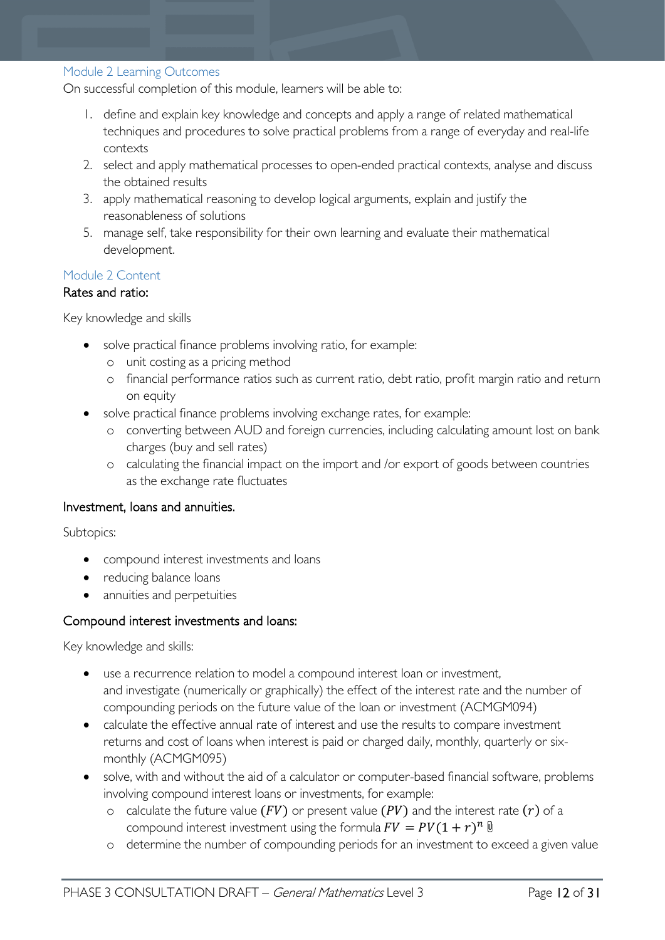#### <span id="page-11-0"></span>Module 2 Learning Outcomes

On successful completion of this module, learners will be able to:

- 1. define and explain key knowledge and concepts and apply a range of related mathematical techniques and procedures to solve practical problems from a range of everyday and real-life contexts
- 2. select and apply mathematical processes to open-ended practical contexts, analyse and discuss the obtained results
- 3. apply mathematical reasoning to develop logical arguments, explain and justify the reasonableness of solutions
- 5. manage self, take responsibility for their own learning and evaluate their mathematical development.

#### <span id="page-11-1"></span>Module 2 Content

#### Rates and ratio:

Key knowledge and skills

- solve practical finance problems involving ratio, for example:
	- o unit costing as a pricing method
	- o financial performance ratios such as current ratio, debt ratio, profit margin ratio and return on equity
- solve practical finance problems involving exchange rates, for example:
	- o converting between AUD and foreign currencies, including calculating amount lost on bank charges (buy and sell rates)
	- o calculating the financial impact on the import and /or export of goods between countries as the exchange rate fluctuates

#### Investment, loans and annuities.

Subtopics:

- compound interest investments and loans
- reducing balance loans
- annuities and perpetuities

#### Compound interest investments and loans:

- use a recurrence relation to model a compound interest loan or investment, and investigate (numerically or graphically) the effect of the interest rate and the number of compounding periods on the future value of the loan or investment (ACMGM094)
- calculate the effective annual rate of interest and use the results to compare investment returns and cost of loans when interest is paid or charged daily, monthly, quarterly or sixmonthly (ACMGM095)
- solve, with and without the aid of a calculator or computer-based financial software, problems involving compound interest loans or investments, for example:
	- o calculate the future value  $(FV)$  or present value  $(PV)$  and the interest rate  $(r)$  of a compound interest investment using the formula  $FV = PV(1 + r)^n \mathbf{0}$
	- o determine the number of compounding periods for an investment to exceed a given value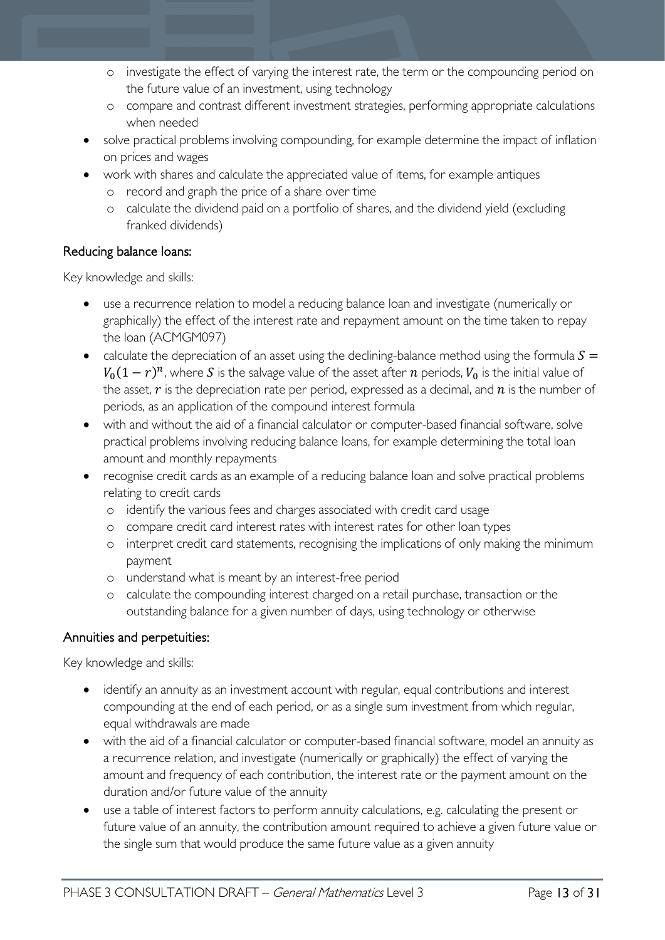- o investigate the effect of varying the interest rate, the term or the compounding period on the future value of an investment, using technology
- o compare and contrast different investment strategies, performing appropriate calculations when needed
- solve practical problems involving compounding, for example determine the impact of inflation on prices and wages
- work with shares and calculate the appreciated value of items, for example antiques
	- o record and graph the price of a share over time
	- o calculate the dividend paid on a portfolio of shares, and the dividend yield (excluding franked dividends)

# Reducing balance loans:

Key knowledge and skills:

- use a recurrence relation to model a reducing balance loan and investigate (numerically or graphically) the effect of the interest rate and repayment amount on the time taken to repay the loan (ACMGM097)
- calculate the depreciation of an asset using the declining-balance method using the formula  $S =$  $V_0(1 - r)^n$ , where S is the salvage value of the asset after n periods,  $V_0$  is the initial value of the asset,  $\dot{r}$  is the depreciation rate per period, expressed as a decimal, and  $\dot{n}$  is the number of periods, as an application of the compound interest formula
- with and without the aid of a financial calculator or computer-based financial software, solve practical problems involving reducing balance loans, for example determining the total loan amount and monthly repayments
- recognise credit cards as an example of a reducing balance loan and solve practical problems relating to credit cards
	- o identify the various fees and charges associated with credit card usage
	- o compare credit card interest rates with interest rates for other loan types
	- o interpret credit card statements, recognising the implications of only making the minimum payment
	- o understand what is meant by an interest-free period
	- o calculate the compounding interest charged on a retail purchase, transaction or the outstanding balance for a given number of days, using technology or otherwise

### Annuities and perpetuities:

- identify an annuity as an investment account with regular, equal contributions and interest compounding at the end of each period, or as a single sum investment from which regular, equal withdrawals are made
- with the aid of a financial calculator or computer-based financial software, model an annuity as a recurrence relation, and investigate (numerically or graphically) the effect of varying the amount and frequency of each contribution, the interest rate or the payment amount on the duration and/or future value of the annuity
- use a table of interest factors to perform annuity calculations, e.g. calculating the present or future value of an annuity, the contribution amount required to achieve a given future value or the single sum that would produce the same future value as a given annuity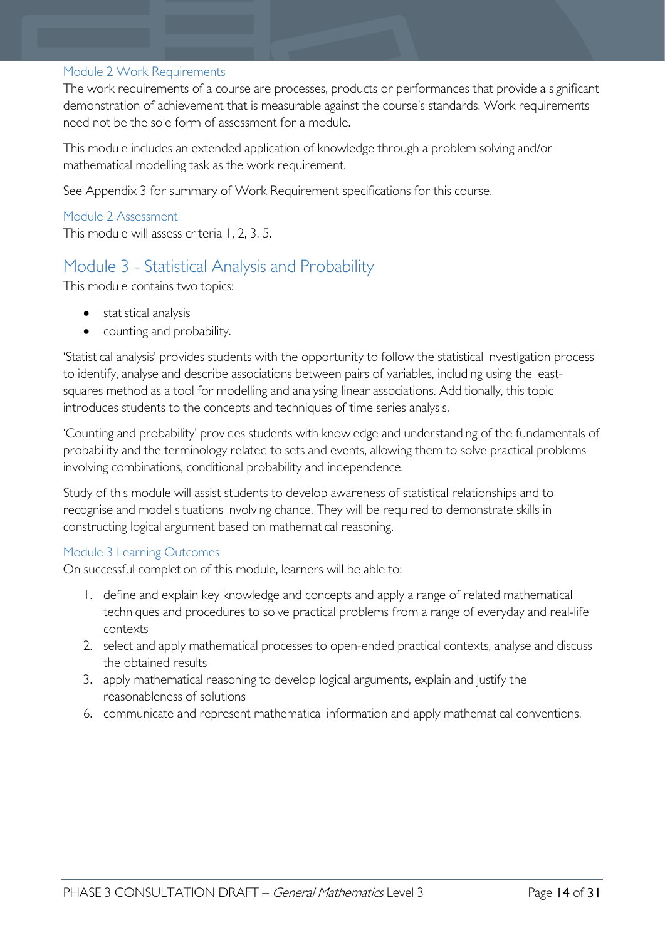#### <span id="page-13-0"></span>Module 2 Work Requirements

The work requirements of a course are processes, products or performances that provide a significant demonstration of achievement that is measurable against the course's standards. Work requirements need not be the sole form of assessment for a module.

This module includes an extended application of knowledge through a problem solving and/or mathematical modelling task as the work requirement.

See Appendix 3 for summary of Work Requirement specifications for this course.

# <span id="page-13-1"></span>Module 2 Assessment

This module will assess criteria 1, 2, 3, 5.

# <span id="page-13-2"></span>Module 3 - Statistical Analysis and Probability

This module contains two topics:

- statistical analysis
- counting and probability.

'Statistical analysis' provides students with the opportunity to follow the statistical investigation process to identify, analyse and describe associations between pairs of variables, including using the leastsquares method as a tool for modelling and analysing linear associations. Additionally, this topic introduces students to the concepts and techniques of time series analysis.

'Counting and probability' provides students with knowledge and understanding of the fundamentals of probability and the terminology related to sets and events, allowing them to solve practical problems involving combinations, conditional probability and independence.

Study of this module will assist students to develop awareness of statistical relationships and to recognise and model situations involving chance. They will be required to demonstrate skills in constructing logical argument based on mathematical reasoning.

### <span id="page-13-3"></span>Module 3 Learning Outcomes

On successful completion of this module, learners will be able to:

- 1. define and explain key knowledge and concepts and apply a range of related mathematical techniques and procedures to solve practical problems from a range of everyday and real-life contexts
- 2. select and apply mathematical processes to open-ended practical contexts, analyse and discuss the obtained results
- 3. apply mathematical reasoning to develop logical arguments, explain and justify the reasonableness of solutions
- 6. communicate and represent mathematical information and apply mathematical conventions.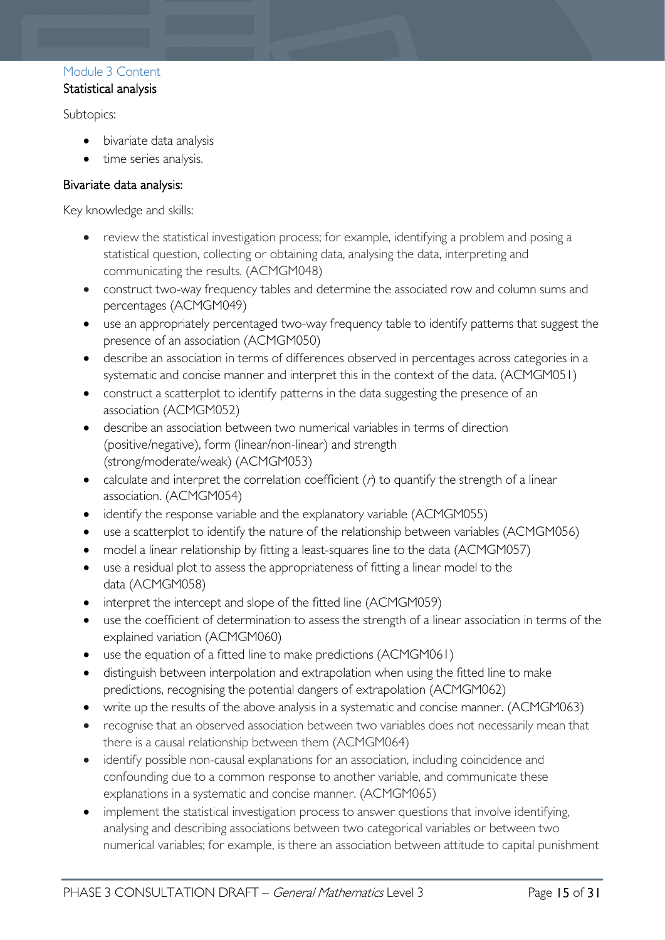### <span id="page-14-0"></span>Module 3 Content Statistical analysis

Subtopics:

- bivariate data analysis
- time series analysis.

# Bivariate data analysis:

- review the statistical investigation process; for example, identifying a problem and posing a statistical question, collecting or obtaining data, analysing the data, interpreting and communicating the results. (ACMGM048)
- construct two-way frequency tables and determine the associated row and column sums and percentages (ACMGM049)
- use an appropriately percentaged two-way frequency table to identify patterns that suggest the presence of an association (ACMGM050)
- describe an association in terms of differences observed in percentages across categories in a systematic and concise manner and interpret this in the context of the data. (ACMGM051)
- construct a scatterplot to identify patterns in the data suggesting the presence of an association (ACMGM052)
- describe an association between two numerical variables in terms of direction (positive/negative), form (linear/non-linear) and strength (strong/moderate/weak) (ACMGM053)
- calculate and interpret the correlation coefficient  $(r)$  to quantify the strength of a linear association. (ACMGM054)
- identify the response variable and the explanatory variable (ACMGM055)
- use a scatterplot to identify the nature of the relationship between variables (ACMGM056)
- model a linear relationship by fitting a least-squares line to the data (ACMGM057)
- use a residual plot to assess the appropriateness of fitting a linear model to the data (ACMGM058)
- interpret the intercept and slope of the fitted line (ACMGM059)
- use the coefficient of determination to assess the strength of a linear association in terms of the explained variation (ACMGM060)
- use the equation of a fitted line to make predictions (ACMGM061)
- distinguish between interpolation and extrapolation when using the fitted line to make predictions, recognising the potential dangers of extrapolation (ACMGM062)
- write up the results of the above analysis in a systematic and concise manner. (ACMGM063)
- recognise that an observed association between two variables does not necessarily mean that there is a causal relationship between them (ACMGM064)
- identify possible non-causal explanations for an association, including coincidence and confounding due to a common response to another variable, and communicate these explanations in a systematic and concise manner. (ACMGM065)
- implement the statistical investigation process to answer questions that involve identifying, analysing and describing associations between two categorical variables or between two numerical variables; for example, is there an association between attitude to capital punishment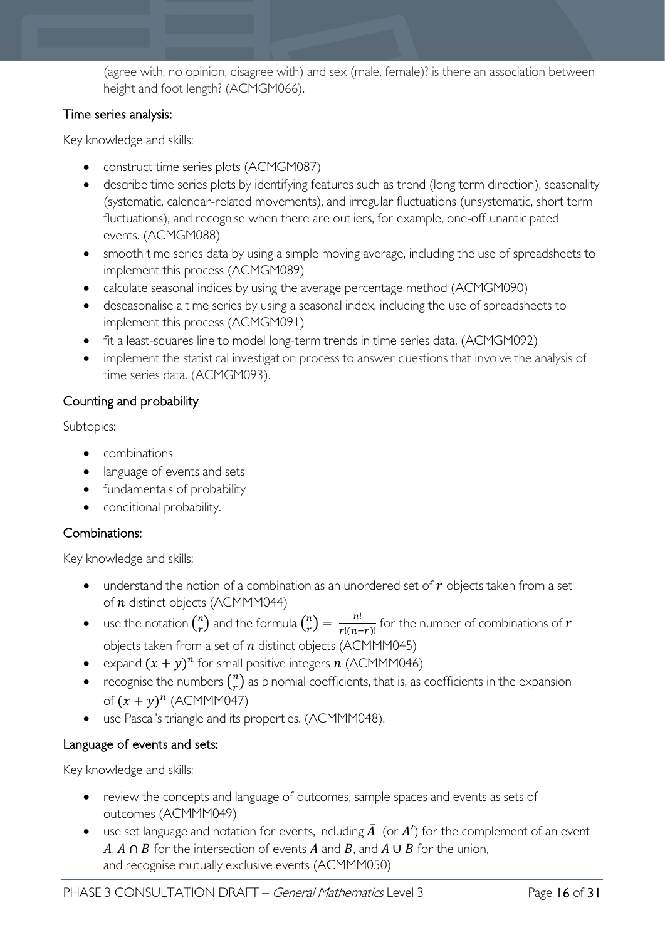(agree with, no opinion, disagree with) and sex (male, female)? is there an association between height and foot length? (ACMGM066).

# Time series analysis:

Key knowledge and skills:

- construct time series plots (ACMGM087)
- describe time series plots by identifying features such as trend (long term direction), seasonality (systematic, calendar-related movements), and irregular fluctuations (unsystematic, short term fluctuations), and recognise when there are outliers, for example, one-off unanticipated events. (ACMGM088)
- smooth time series data by using a simple moving average, including the use of spreadsheets to implement this process (ACMGM089)
- calculate seasonal indices by using the average percentage method (ACMGM090)
- deseasonalise a time series by using a seasonal index, including the use of spreadsheets to implement this process (ACMGM091)
- fit a least-squares line to model long-term trends in time series data. (ACMGM092)
- implement the statistical investigation process to answer questions that involve the analysis of time series data. (ACMGM093).

# Counting and probability

Subtopics:

- combinations
- language of events and sets
- fundamentals of probability
- conditional probability.

# Combinations:

Key knowledge and skills:

- understand the notion of a combination as an unordered set of  $r$  objects taken from a set of  $n$  distinct objects (ACMMM044)
- use the notation  $\binom{n}{r}$  and the formula  $\binom{n}{r} = \frac{n!}{r!(n-r)!}$  for the number of combinations of  $r$ objects taken from a set of  $n$  distinct objects (ACMMM045)
- expand  $(x + y)^n$  for small positive integers n (ACMMM046)
- recognise the numbers  $\binom{n}{r}$  as binomial coefficients, that is, as coefficients in the expansion of  $(x + y)^n$  (ACMMM047)
- use Pascal's triangle and its properties. (ACMMM048).

# Language of events and sets:

- review the concepts and language of outcomes, sample spaces and events as sets of outcomes (ACMMM049)
- use set language and notation for events, including  $\overline{A}$  (or  $A'$ ) for the complement of an event  $A, A \cap B$  for the intersection of events A and B, and A  $\cup$  B for the union, and recognise mutually exclusive events (ACMMM050)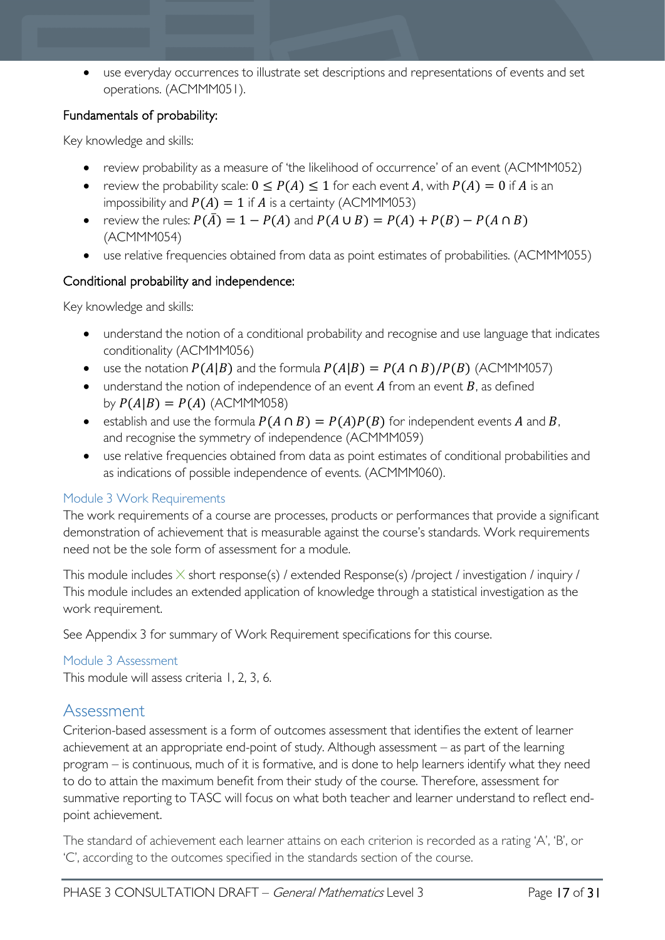• use everyday occurrences to illustrate set descriptions and representations of events and set operations. (ACMMM051).

### Fundamentals of probability:

Key knowledge and skills:

- review probability as a measure of 'the likelihood of occurrence' of an event (ACMMM052)
- review the probability scale:  $0 \le P(A) \le 1$  for each event A, with  $P(A) = 0$  if A is an impossibility and  $P(A) = 1$  if  $A$  is a certainty (ACMMM053)
- review the rules:  $P(\overline{A}) = 1 P(A)$  and  $P(A \cup B) = P(A) + P(B) P(A \cap B)$ (ACMMM054)
- use relative frequencies obtained from data as point estimates of probabilities. (ACMMM055)

### Conditional probability and independence:

Key knowledge and skills:

- understand the notion of a conditional probability and recognise and use language that indicates conditionality (ACMMM056)
- use the notation  $P(A|B)$  and the formula  $P(A|B) = P(A \cap B)/P(B)$  (ACMMM057)
- understand the notion of independence of an event  $A$  from an event  $B$ , as defined by  $P(A|B) = P(A)$  (ACMMM058)
- establish and use the formula  $P(A \cap B) = P(A)P(B)$  for independent events A and B, and recognise the symmetry of independence (ACMMM059)
- use relative frequencies obtained from data as point estimates of conditional probabilities and as indications of possible independence of events. (ACMMM060).

### <span id="page-16-0"></span>Module 3 Work Requirements

The work requirements of a course are processes, products or performances that provide a significant demonstration of achievement that is measurable against the course's standards. Work requirements need not be the sole form of assessment for a module.

This module includes  $\times$  short response(s) / extended Response(s) /project / investigation / inquiry / This module includes an extended application of knowledge through a statistical investigation as the work requirement.

See Appendix 3 for summary of Work Requirement specifications for this course.

### <span id="page-16-1"></span>Module 3 Assessment

This module will assess criteria 1, 2, 3, 6.

# <span id="page-16-2"></span>Assessment

Criterion-based assessment is a form of outcomes assessment that identifies the extent of learner achievement at an appropriate end-point of study. Although assessment – as part of the learning program – is continuous, much of it is formative, and is done to help learners identify what they need to do to attain the maximum benefit from their study of the course. Therefore, assessment for summative reporting to TASC will focus on what both teacher and learner understand to reflect endpoint achievement.

The standard of achievement each learner attains on each criterion is recorded as a rating 'A', 'B', or 'C', according to the outcomes specified in the standards section of the course.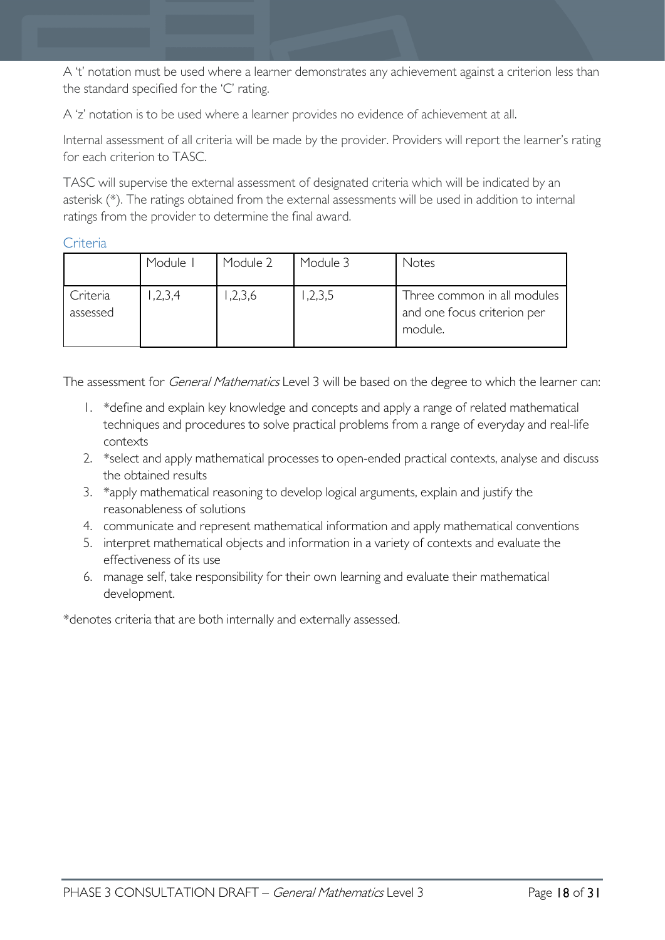A 't' notation must be used where a learner demonstrates any achievement against a criterion less than the standard specified for the 'C' rating.

A 'z' notation is to be used where a learner provides no evidence of achievement at all.

Internal assessment of all criteria will be made by the provider. Providers will report the learner's rating for each criterion to TASC.

TASC will supervise the external assessment of designated criteria which will be indicated by an asterisk (\*). The ratings obtained from the external assessments will be used in addition to internal ratings from the provider to determine the final award.

### <span id="page-17-0"></span>Criteria

|                      | Module I | Module 2 | Module 3 | Notes                                                                 |
|----------------------|----------|----------|----------|-----------------------------------------------------------------------|
| Criteria<br>assessed | ,2,3,4   | 1,2,3,6  | 1,2,3,5  | Three common in all modules<br>and one focus criterion per<br>module. |

The assessment for *General Mathematics* Level 3 will be based on the degree to which the learner can:

- 1. \*define and explain key knowledge and concepts and apply a range of related mathematical techniques and procedures to solve practical problems from a range of everyday and real-life contexts
- 2. \*select and apply mathematical processes to open-ended practical contexts, analyse and discuss the obtained results
- 3. \*apply mathematical reasoning to develop logical arguments, explain and justify the reasonableness of solutions
- 4. communicate and represent mathematical information and apply mathematical conventions
- 5. interpret mathematical objects and information in a variety of contexts and evaluate the effectiveness of its use
- 6. manage self, take responsibility for their own learning and evaluate their mathematical development.

\*denotes criteria that are both internally and externally assessed.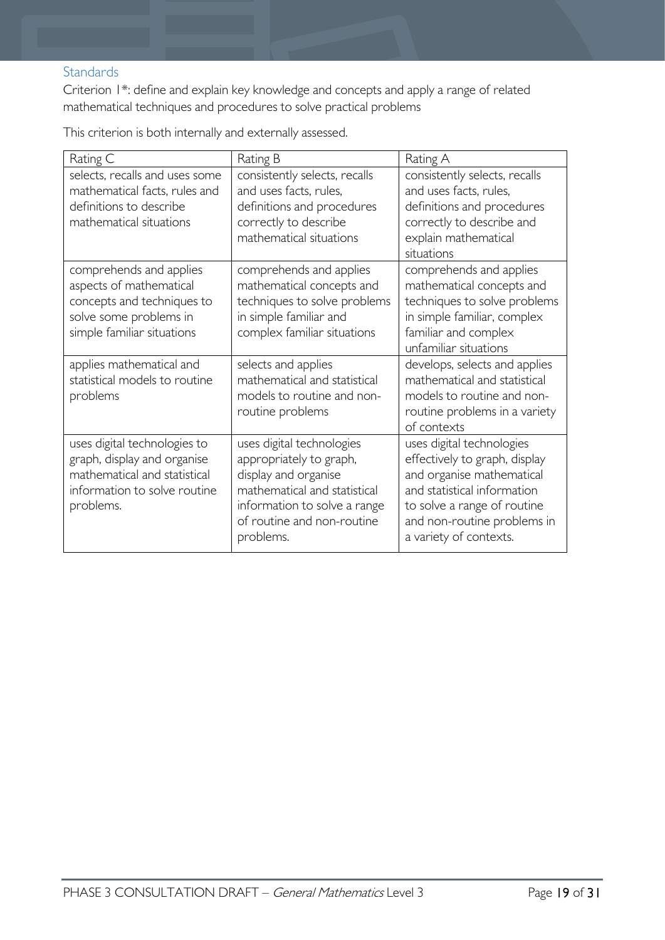### <span id="page-18-0"></span>**Standards**

Criterion 1\*: define and explain key knowledge and concepts and apply a range of related mathematical techniques and procedures to solve practical problems

Rating C Rating B Rating A selects, recalls and uses some mathematical facts, rules and definitions to describe mathematical situations consistently selects, recalls and uses facts, rules, definitions and procedures correctly to describe mathematical situations consistently selects, recalls and uses facts, rules, definitions and procedures correctly to describe and explain mathematical situations comprehends and applies aspects of mathematical concepts and techniques to solve some problems in simple familiar situations comprehends and applies mathematical concepts and techniques to solve problems in simple familiar and complex familiar situations comprehends and applies mathematical concepts and techniques to solve problems in simple familiar, complex familiar and complex unfamiliar situations applies mathematical and statistical models to routine problems selects and applies mathematical and statistical models to routine and nonroutine problems develops, selects and applies mathematical and statistical models to routine and nonroutine problems in a variety of contexts uses digital technologies to graph, display and organise mathematical and statistical information to solve routine problems. uses digital technologies appropriately to graph, display and organise mathematical and statistical information to solve a range of routine and non-routine problems. uses digital technologies effectively to graph, display and organise mathematical and statistical information to solve a range of routine and non-routine problems in a variety of contexts.

This criterion is both internally and externally assessed.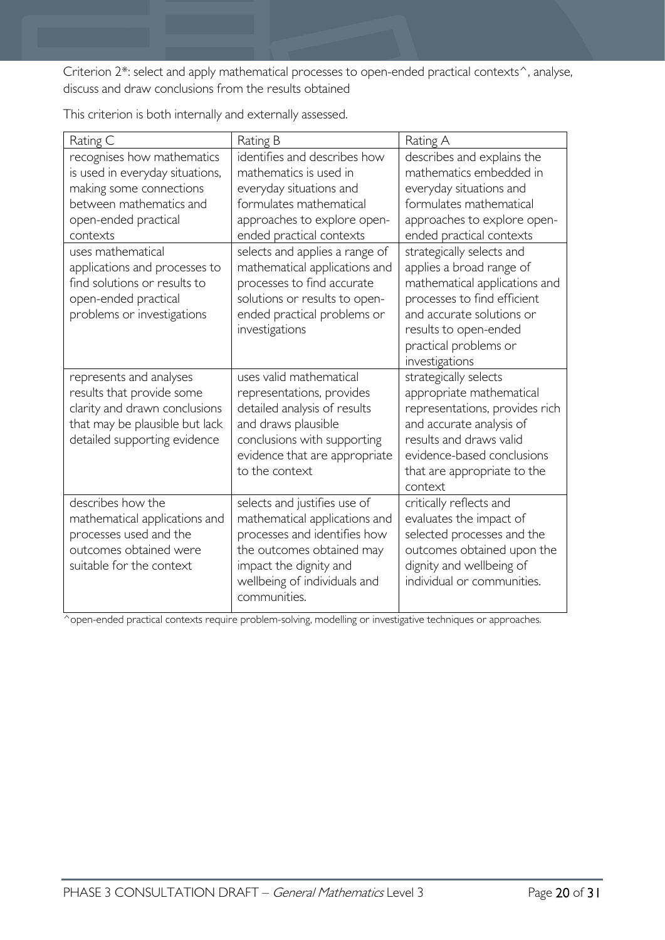Criterion 2\*: select and apply mathematical processes to open-ended practical contexts^, analyse, discuss and draw conclusions from the results obtained

| Rating C                                                                                                                                                | Rating B                                                                                                                                                                                      | Rating A                                                                                                                                                                                                           |
|---------------------------------------------------------------------------------------------------------------------------------------------------------|-----------------------------------------------------------------------------------------------------------------------------------------------------------------------------------------------|--------------------------------------------------------------------------------------------------------------------------------------------------------------------------------------------------------------------|
| recognises how mathematics                                                                                                                              | identifies and describes how                                                                                                                                                                  | describes and explains the                                                                                                                                                                                         |
| is used in everyday situations,                                                                                                                         | mathematics is used in                                                                                                                                                                        | mathematics embedded in                                                                                                                                                                                            |
| making some connections                                                                                                                                 | everyday situations and                                                                                                                                                                       | everyday situations and                                                                                                                                                                                            |
| between mathematics and                                                                                                                                 | formulates mathematical                                                                                                                                                                       | formulates mathematical                                                                                                                                                                                            |
| open-ended practical                                                                                                                                    | approaches to explore open-                                                                                                                                                                   | approaches to explore open-                                                                                                                                                                                        |
| contexts                                                                                                                                                | ended practical contexts                                                                                                                                                                      | ended practical contexts                                                                                                                                                                                           |
| uses mathematical<br>applications and processes to<br>find solutions or results to<br>open-ended practical<br>problems or investigations                | selects and applies a range of<br>mathematical applications and<br>processes to find accurate<br>solutions or results to open-<br>ended practical problems or<br>investigations               | strategically selects and<br>applies a broad range of<br>mathematical applications and<br>processes to find efficient<br>and accurate solutions or<br>results to open-ended<br>practical problems or               |
|                                                                                                                                                         |                                                                                                                                                                                               | investigations                                                                                                                                                                                                     |
|                                                                                                                                                         |                                                                                                                                                                                               |                                                                                                                                                                                                                    |
| represents and analyses<br>results that provide some<br>clarity and drawn conclusions<br>that may be plausible but lack<br>detailed supporting evidence | uses valid mathematical<br>representations, provides<br>detailed analysis of results<br>and draws plausible<br>conclusions with supporting<br>evidence that are appropriate<br>to the context | strategically selects<br>appropriate mathematical<br>representations, provides rich<br>and accurate analysis of<br>results and draws valid<br>evidence-based conclusions<br>that are appropriate to the<br>context |

This criterion is both internally and externally assessed.

^open-ended practical contexts require problem-solving, modelling or investigative techniques or approaches.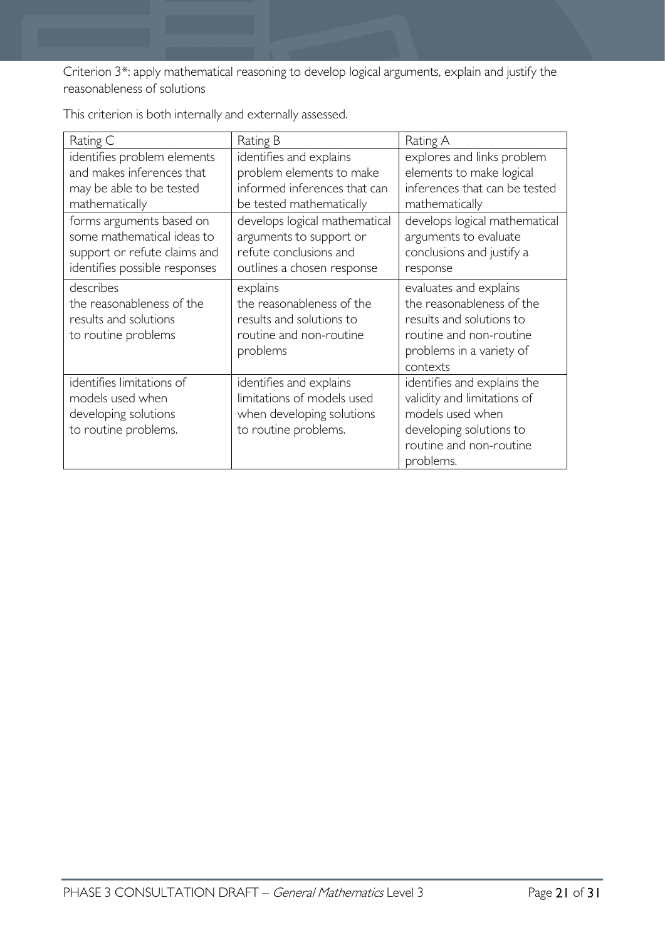Criterion 3\*: apply mathematical reasoning to develop logical arguments, explain and justify the reasonableness of solutions

| Rating C                                                                                                                | Rating B                                                                                                         | Rating A                                                                                                                                           |
|-------------------------------------------------------------------------------------------------------------------------|------------------------------------------------------------------------------------------------------------------|----------------------------------------------------------------------------------------------------------------------------------------------------|
| identifies problem elements<br>and makes inferences that<br>may be able to be tested<br>mathematically                  | identifies and explains<br>problem elements to make<br>informed inferences that can<br>be tested mathematically  | explores and links problem<br>elements to make logical<br>inferences that can be tested<br>mathematically                                          |
| forms arguments based on<br>some mathematical ideas to<br>support or refute claims and<br>identifies possible responses | develops logical mathematical<br>arguments to support or<br>refute conclusions and<br>outlines a chosen response | develops logical mathematical<br>arguments to evaluate<br>conclusions and justify a<br>response                                                    |
| describes<br>the reasonableness of the<br>results and solutions<br>to routine problems                                  | explains<br>the reasonableness of the<br>results and solutions to<br>routine and non-routine<br>problems         | evaluates and explains<br>the reasonableness of the<br>results and solutions to<br>routine and non-routine<br>problems in a variety of<br>contexts |
| identifies limitations of<br>models used when<br>developing solutions<br>to routine problems.                           | identifies and explains<br>limitations of models used<br>when developing solutions<br>to routine problems.       | identifies and explains the<br>validity and limitations of<br>models used when<br>developing solutions to<br>routine and non-routine<br>problems.  |

This criterion is both internally and externally assessed.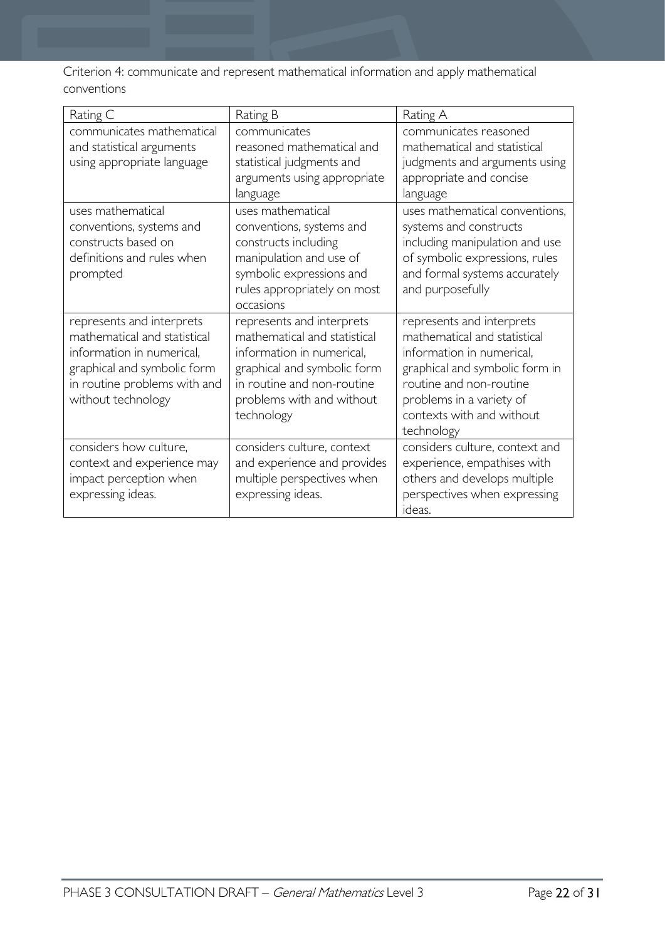Criterion 4: communicate and represent mathematical information and apply mathematical conventions

| Rating C                                                                                                                                                                    | Rating B                                                                                                                                                                                       | Rating A                                                                                                                                                                                                                   |
|-----------------------------------------------------------------------------------------------------------------------------------------------------------------------------|------------------------------------------------------------------------------------------------------------------------------------------------------------------------------------------------|----------------------------------------------------------------------------------------------------------------------------------------------------------------------------------------------------------------------------|
| communicates mathematical<br>and statistical arguments<br>using appropriate language                                                                                        | communicates<br>reasoned mathematical and<br>statistical judgments and<br>arguments using appropriate<br>language                                                                              | communicates reasoned<br>mathematical and statistical<br>judgments and arguments using<br>appropriate and concise<br>language                                                                                              |
| uses mathematical<br>conventions, systems and<br>constructs based on<br>definitions and rules when<br>prompted                                                              | uses mathematical<br>conventions, systems and<br>constructs including<br>manipulation and use of<br>symbolic expressions and<br>rules appropriately on most<br>occasions                       | uses mathematical conventions,<br>systems and constructs<br>including manipulation and use<br>of symbolic expressions, rules<br>and formal systems accurately<br>and purposefully                                          |
| represents and interprets<br>mathematical and statistical<br>information in numerical,<br>graphical and symbolic form<br>in routine problems with and<br>without technology | represents and interprets<br>mathematical and statistical<br>information in numerical.<br>graphical and symbolic form<br>in routine and non-routine<br>problems with and without<br>technology | represents and interprets<br>mathematical and statistical<br>information in numerical,<br>graphical and symbolic form in<br>routine and non-routine<br>problems in a variety of<br>contexts with and without<br>technology |
| considers how culture,<br>context and experience may<br>impact perception when<br>expressing ideas.                                                                         | considers culture, context<br>and experience and provides<br>multiple perspectives when<br>expressing ideas.                                                                                   | considers culture, context and<br>experience, empathises with<br>others and develops multiple<br>perspectives when expressing<br>ideas.                                                                                    |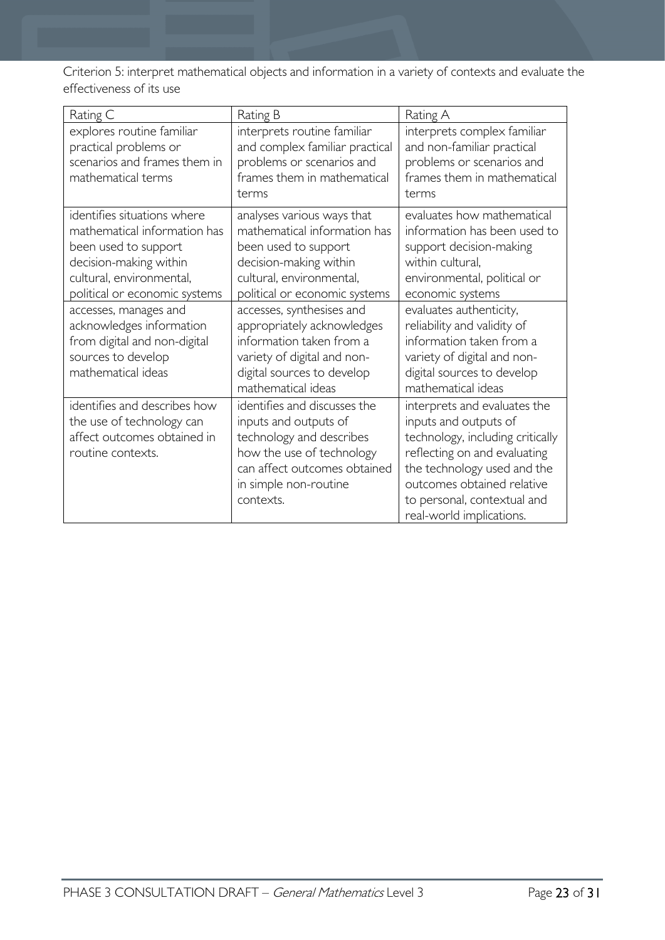Criterion 5: interpret mathematical objects and information in a variety of contexts and evaluate the effectiveness of its use

| Rating C                                                                                                                                                                                                                                                                                                    | Rating B                                                                                                                                                                                                                                                                                                                                            | Rating A                                                                                                                                                                                                                                                                                                                              |
|-------------------------------------------------------------------------------------------------------------------------------------------------------------------------------------------------------------------------------------------------------------------------------------------------------------|-----------------------------------------------------------------------------------------------------------------------------------------------------------------------------------------------------------------------------------------------------------------------------------------------------------------------------------------------------|---------------------------------------------------------------------------------------------------------------------------------------------------------------------------------------------------------------------------------------------------------------------------------------------------------------------------------------|
| explores routine familiar<br>practical problems or<br>scenarios and frames them in<br>mathematical terms                                                                                                                                                                                                    | interprets routine familiar<br>and complex familiar practical<br>problems or scenarios and<br>frames them in mathematical<br>terms                                                                                                                                                                                                                  | interprets complex familiar<br>and non-familiar practical<br>problems or scenarios and<br>frames them in mathematical<br>terms                                                                                                                                                                                                        |
| identifies situations where<br>mathematical information has<br>been used to support<br>decision-making within<br>cultural, environmental,<br>political or economic systems<br>accesses, manages and<br>acknowledges information<br>from digital and non-digital<br>sources to develop<br>mathematical ideas | analyses various ways that<br>mathematical information has<br>been used to support<br>decision-making within<br>cultural, environmental,<br>political or economic systems<br>accesses, synthesises and<br>appropriately acknowledges<br>information taken from a<br>variety of digital and non-<br>digital sources to develop<br>mathematical ideas | evaluates how mathematical<br>information has been used to<br>support decision-making<br>within cultural,<br>environmental, political or<br>economic systems<br>evaluates authenticity,<br>reliability and validity of<br>information taken from a<br>variety of digital and non-<br>digital sources to develop<br>mathematical ideas |
| identifies and describes how<br>the use of technology can<br>affect outcomes obtained in<br>routine contexts.                                                                                                                                                                                               | identifies and discusses the<br>inputs and outputs of<br>technology and describes<br>how the use of technology<br>can affect outcomes obtained<br>in simple non-routine<br>contexts.                                                                                                                                                                | interprets and evaluates the<br>inputs and outputs of<br>technology, including critically<br>reflecting on and evaluating<br>the technology used and the<br>outcomes obtained relative<br>to personal, contextual and<br>real-world implications.                                                                                     |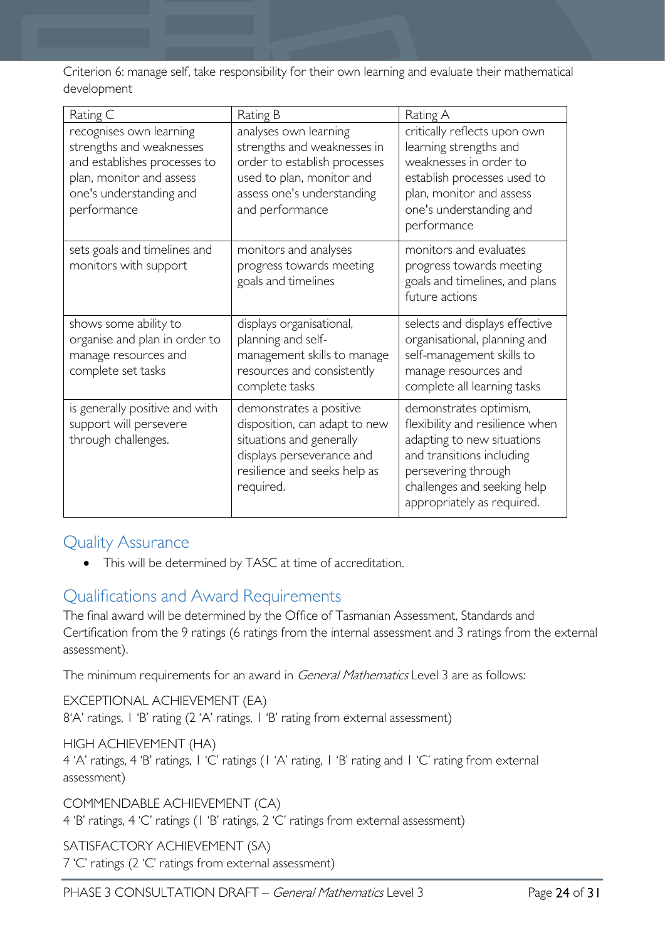Criterion 6: manage self, take responsibility for their own learning and evaluate their mathematical development

| Rating C                                                                                                                                                  | Rating B                                                                                                                                                           | Rating A                                                                                                                                                                                                 |
|-----------------------------------------------------------------------------------------------------------------------------------------------------------|--------------------------------------------------------------------------------------------------------------------------------------------------------------------|----------------------------------------------------------------------------------------------------------------------------------------------------------------------------------------------------------|
| recognises own learning<br>strengths and weaknesses<br>and establishes processes to<br>plan, monitor and assess<br>one's understanding and<br>performance | analyses own learning<br>strengths and weaknesses in<br>order to establish processes<br>used to plan, monitor and<br>assess one's understanding<br>and performance | critically reflects upon own<br>learning strengths and<br>weaknesses in order to<br>establish processes used to<br>plan, monitor and assess<br>one's understanding and<br>performance                    |
| sets goals and timelines and<br>monitors with support                                                                                                     | monitors and analyses<br>progress towards meeting<br>goals and timelines                                                                                           | monitors and evaluates<br>progress towards meeting<br>goals and timelines, and plans<br>future actions                                                                                                   |
| shows some ability to<br>organise and plan in order to<br>manage resources and<br>complete set tasks                                                      | displays organisational,<br>planning and self-<br>management skills to manage<br>resources and consistently<br>complete tasks                                      | selects and displays effective<br>organisational, planning and<br>self-management skills to<br>manage resources and<br>complete all learning tasks                                                       |
| is generally positive and with<br>support will persevere<br>through challenges.                                                                           | demonstrates a positive<br>disposition, can adapt to new<br>situations and generally<br>displays perseverance and<br>resilience and seeks help as<br>required.     | demonstrates optimism,<br>flexibility and resilience when<br>adapting to new situations<br>and transitions including<br>persevering through<br>challenges and seeking help<br>appropriately as required. |

# <span id="page-23-0"></span>Quality Assurance

• This will be determined by TASC at time of accreditation.

# <span id="page-23-1"></span>Qualifications and Award Requirements

The final award will be determined by the Office of Tasmanian Assessment, Standards and Certification from the 9 ratings (6 ratings from the internal assessment and 3 ratings from the external assessment).

The minimum requirements for an award in *General Mathematics* Level 3 are as follows:

EXCEPTIONAL ACHIEVEMENT (EA) 8'A' ratings, 1 'B' rating (2 'A' ratings, 1 'B' rating from external assessment)

### HIGH ACHIEVEMENT (HA)

4 'A' ratings, 4 'B' ratings, 1 'C' ratings (1 'A' rating, 1 'B' rating and 1 'C' rating from external assessment)

COMMENDABLE ACHIEVEMENT (CA) 4 'B' ratings, 4 'C' ratings (1 'B' ratings, 2 'C' ratings from external assessment)

SATISFACTORY ACHIEVEMENT (SA) 7 'C' ratings (2 'C' ratings from external assessment)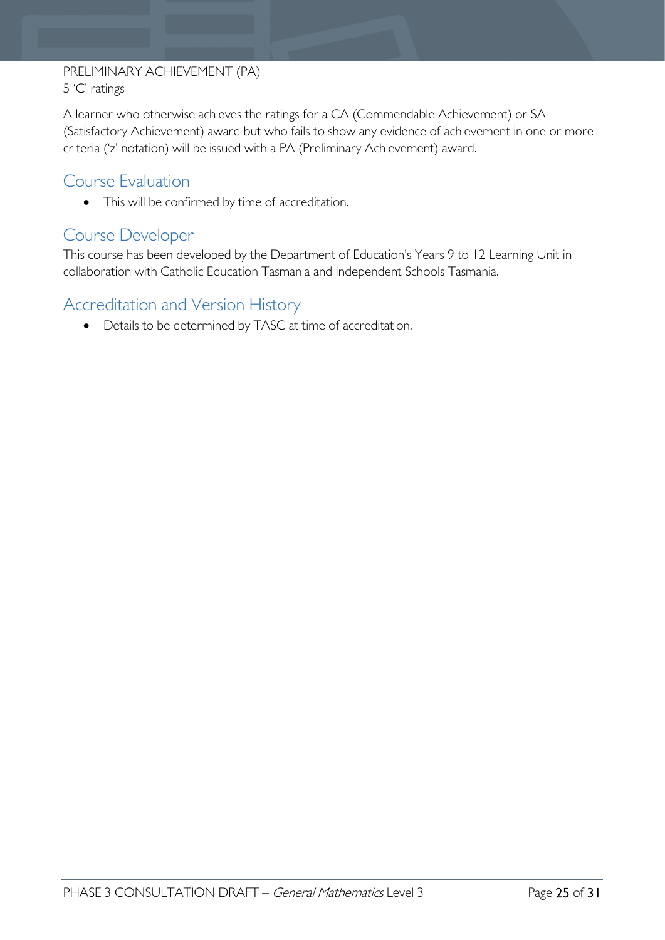# PRELIMINARY ACHIEVEMENT (PA) 5 'C' ratings

A learner who otherwise achieves the ratings for a CA (Commendable Achievement) or SA (Satisfactory Achievement) award but who fails to show any evidence of achievement in one or more criteria ('z' notation) will be issued with a PA (Preliminary Achievement) award.

# <span id="page-24-0"></span>Course Evaluation

• This will be confirmed by time of accreditation.

# <span id="page-24-1"></span>Course Developer

This course has been developed by the Department of Education's Years 9 to 12 Learning Unit in collaboration with Catholic Education Tasmania and Independent Schools Tasmania.

# <span id="page-24-2"></span>Accreditation and Version History

• Details to be determined by TASC at time of accreditation.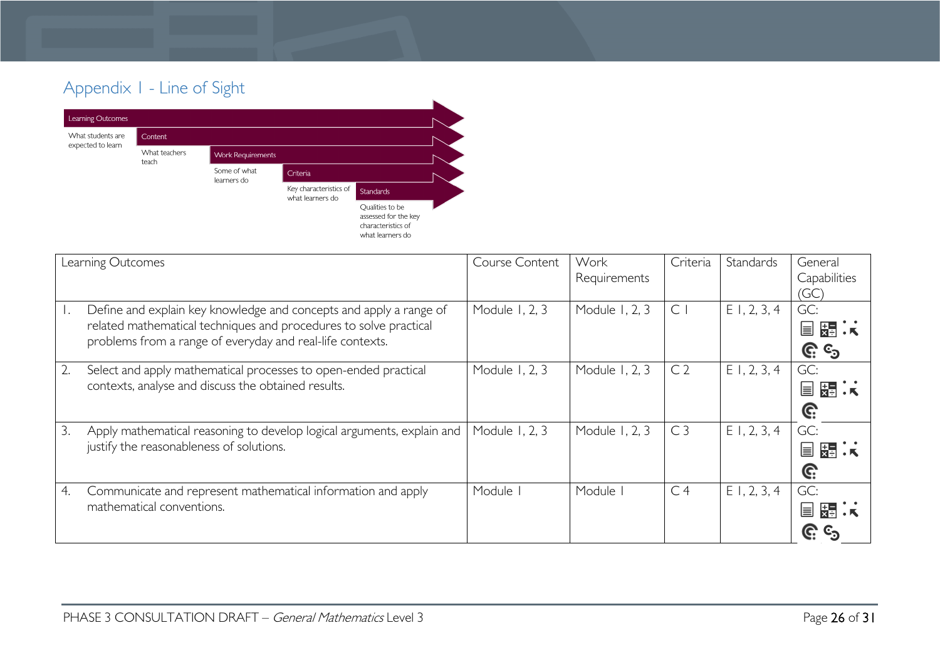# Appendix 1 - Line of Sight



<span id="page-25-0"></span>

|    | Learning Outcomes                                                                                                                                                                                    | <b>Course Content</b> | Work<br>Requirements | Criteria       | <b>Standards</b> | General<br>Capabilities<br>'GC) |
|----|------------------------------------------------------------------------------------------------------------------------------------------------------------------------------------------------------|-----------------------|----------------------|----------------|------------------|---------------------------------|
|    | Define and explain key knowledge and concepts and apply a range of<br>related mathematical techniques and procedures to solve practical<br>problems from a range of everyday and real-life contexts. | Module 1, 2, 3        | Module 1, 2, 3       | C              | $E$ 1, 2, 3, 4   | GC:<br>国 弱 法<br><u>ල</u> ය      |
|    | Select and apply mathematical processes to open-ended practical<br>contexts, analyse and discuss the obtained results.                                                                               | Module 1, 2, 3        | Module 1, 2, 3       | C <sub>2</sub> | $E$ 1, 2, 3, 4   | GC:<br>国盟法<br>G:                |
| 3. | Apply mathematical reasoning to develop logical arguments, explain and<br>justify the reasonableness of solutions.                                                                                   | Module 1, 2, 3        | Module 1, 2, 3       | C <sub>3</sub> | $E$ 1, 2, 3, 4   | GC:<br>뜷<br>冒<br>G:             |
| 4. | Communicate and represent mathematical information and apply<br>mathematical conventions.                                                                                                            | Module                | Module               | C <sub>4</sub> | $E$ 1, 2, 3, 4   | GC:<br>⊫                        |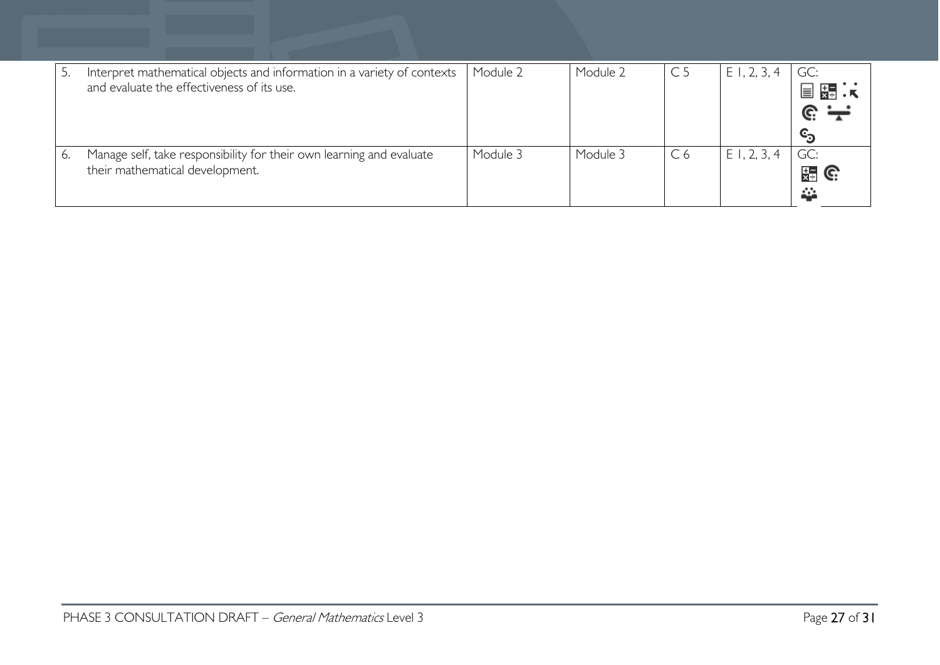| Interpret mathematical objects and information in a variety of contexts<br>and evaluate the effectiveness of its use. | Module 2 | Module 2 | C <sub>5</sub> | E1, 2, 3<br>$\overline{4}$ | GC:<br>装置<br>目<br>$\mathbf{c}_\mathbf{3}$ |
|-----------------------------------------------------------------------------------------------------------------------|----------|----------|----------------|----------------------------|-------------------------------------------|
| Manage self, take responsibility for their own learning and evaluate<br>their mathematical development.               | Module 3 | Module 3 | C <sub>6</sub> | E1, 2, 3, 4                | GC:<br>出 G<br>益                           |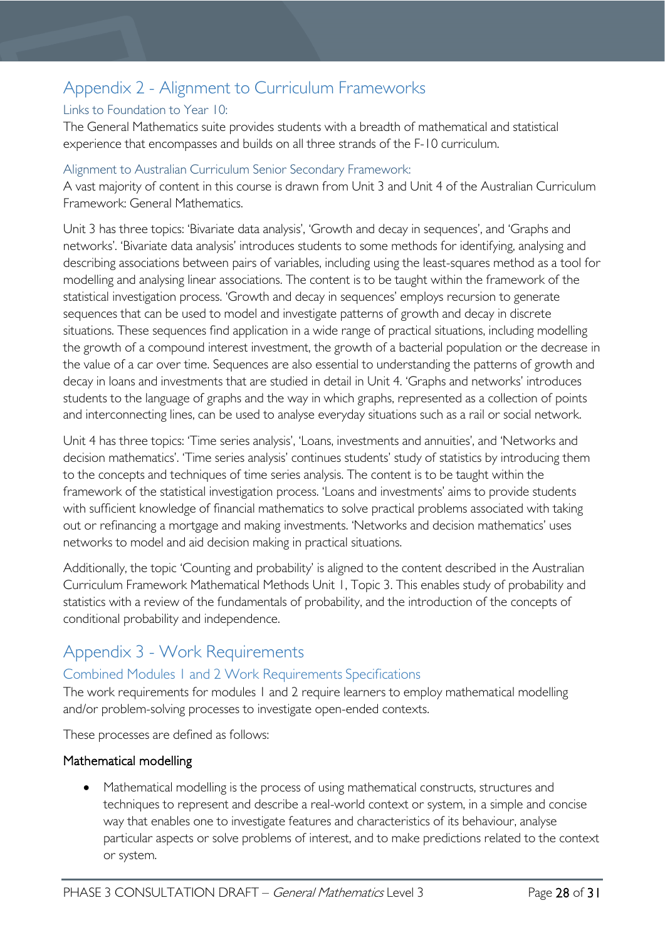# <span id="page-27-0"></span>Appendix 2 - Alignment to Curriculum Frameworks

# <span id="page-27-1"></span>Links to Foundation to Year 10:

The General Mathematics suite provides students with a breadth of mathematical and statistical experience that encompasses and builds on all three strands of the F-10 curriculum.

### <span id="page-27-2"></span>Alignment to Australian Curriculum Senior Secondary Framework:

A vast majority of content in this course is drawn from Unit 3 and Unit 4 of the Australian Curriculum Framework: General Mathematics.

Unit 3 has three topics: 'Bivariate data analysis', 'Growth and decay in sequences', and 'Graphs and networks'. 'Bivariate data analysis' introduces students to some methods for identifying, analysing and describing associations between pairs of variables, including using the least-squares method as a tool for modelling and analysing linear associations. The content is to be taught within the framework of the statistical investigation process. 'Growth and decay in sequences' employs recursion to generate sequences that can be used to model and investigate patterns of growth and decay in discrete situations. These sequences find application in a wide range of practical situations, including modelling the growth of a compound interest investment, the growth of a bacterial population or the decrease in the value of a car over time. Sequences are also essential to understanding the patterns of growth and decay in loans and investments that are studied in detail in Unit 4. 'Graphs and networks' introduces students to the language of graphs and the way in which graphs, represented as a collection of points and interconnecting lines, can be used to analyse everyday situations such as a rail or social network.

Unit 4 has three topics: 'Time series analysis', 'Loans, investments and annuities', and 'Networks and decision mathematics'. 'Time series analysis' continues students' study of statistics by introducing them to the concepts and techniques of time series analysis. The content is to be taught within the framework of the statistical investigation process. 'Loans and investments' aims to provide students with sufficient knowledge of financial mathematics to solve practical problems associated with taking out or refinancing a mortgage and making investments. 'Networks and decision mathematics' uses networks to model and aid decision making in practical situations.

Additionally, the topic 'Counting and probability' is aligned to the content described in the Australian Curriculum Framework Mathematical Methods Unit 1, Topic 3. This enables study of probability and statistics with a review of the fundamentals of probability, and the introduction of the concepts of conditional probability and independence.

# <span id="page-27-3"></span>Appendix 3 - Work Requirements

# <span id="page-27-4"></span>Combined Modules 1 and 2 Work Requirements Specifications

The work requirements for modules 1 and 2 require learners to employ mathematical modelling and/or problem-solving processes to investigate open-ended contexts.

These processes are defined as follows:

### Mathematical modelling

Mathematical modelling is the process of using mathematical constructs, structures and techniques to represent and describe a real-world context or system, in a simple and concise way that enables one to investigate features and characteristics of its behaviour, analyse particular aspects or solve problems of interest, and to make predictions related to the context or system.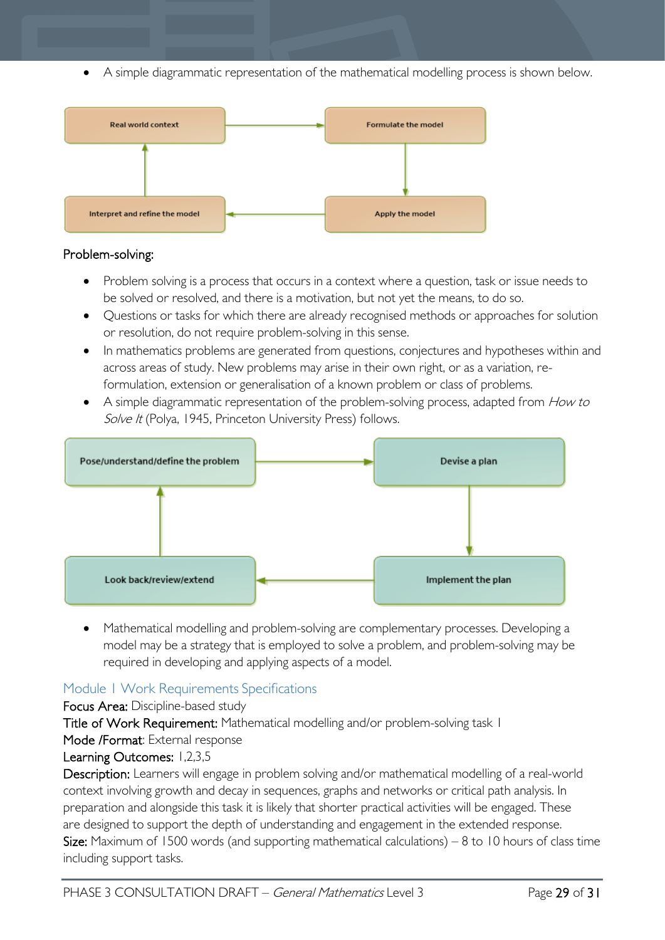• A simple diagrammatic representation of the mathematical modelling process is shown below.



### Problem-solving:

- Problem solving is a process that occurs in a context where a question, task or issue needs to be solved or resolved, and there is a motivation, but not yet the means, to do so.
- Questions or tasks for which there are already recognised methods or approaches for solution or resolution, do not require problem-solving in this sense.
- In mathematics problems are generated from questions, conjectures and hypotheses within and across areas of study. New problems may arise in their own right, or as a variation, reformulation, extension or generalisation of a known problem or class of problems.
- A simple diagrammatic representation of the problem-solving process, adapted from How to Solve It (Polya, 1945, Princeton University Press) follows.



• Mathematical modelling and problem-solving are complementary processes. Developing a model may be a strategy that is employed to solve a problem, and problem-solving may be required in developing and applying aspects of a model.

# <span id="page-28-0"></span>Module 1 Work Requirements Specifications

Focus Area: Discipline-based study Title of Work Requirement: Mathematical modelling and/or problem-solving task 1

# Mode /Format: External response

Learning Outcomes: 1,2,3,5

Description: Learners will engage in problem solving and/or mathematical modelling of a real-world context involving growth and decay in sequences, graphs and networks or critical path analysis. In preparation and alongside this task it is likely that shorter practical activities will be engaged. These are designed to support the depth of understanding and engagement in the extended response. **Size:** Maximum of 1500 words (and supporting mathematical calculations) – 8 to 10 hours of class time including support tasks.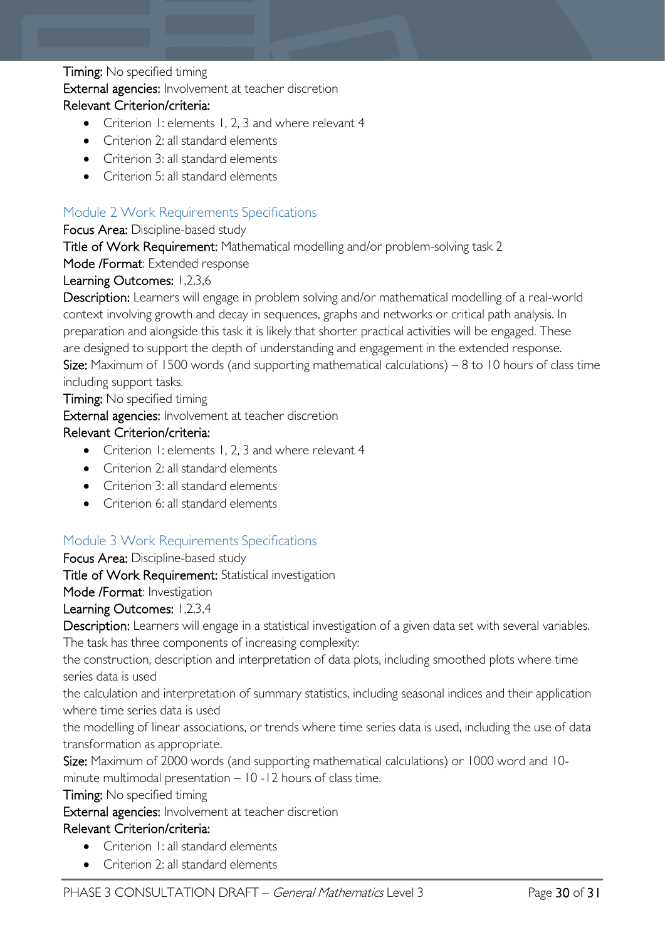### **Timing:** No specified timing

External agencies: Involvement at teacher discretion

#### Relevant Criterion/criteria:

- Criterion 1: elements 1, 2, 3 and where relevant 4
- Criterion 2: all standard elements
- Criterion 3: all standard elements
- Criterion 5: all standard elements

# <span id="page-29-0"></span>Module 2 Work Requirements Specifications

### Focus Area: Discipline-based study

Title of Work Requirement: Mathematical modelling and/or problem-solving task 2

Mode /Format: Extended response

### Learning Outcomes: 1,2,3,6

Description: Learners will engage in problem solving and/or mathematical modelling of a real-world context involving growth and decay in sequences, graphs and networks or critical path analysis. In preparation and alongside this task it is likely that shorter practical activities will be engaged. These are designed to support the depth of understanding and engagement in the extended response. **Size:** Maximum of 1500 words (and supporting mathematical calculations) – 8 to 10 hours of class time including support tasks.

Timing: No specified timing

External agencies: Involvement at teacher discretion

### Relevant Criterion/criteria:

- Criterion 1: elements 1, 2, 3 and where relevant 4
- Criterion 2: all standard elements
- Criterion 3: all standard elements
- Criterion 6: all standard elements

# <span id="page-29-1"></span>Module 3 Work Requirements Specifications

### Focus Area: Discipline-based study

Title of Work Requirement: Statistical investigation

Mode /Format: Investigation

### Learning Outcomes: 1,2,3,4

Description: Learners will engage in a statistical investigation of a given data set with several variables. The task has three components of increasing complexity:

the construction, description and interpretation of data plots, including smoothed plots where time series data is used

the calculation and interpretation of summary statistics, including seasonal indices and their application where time series data is used

the modelling of linear associations, or trends where time series data is used, including the use of data transformation as appropriate.

Size: Maximum of 2000 words (and supporting mathematical calculations) or 1000 word and 10-

minute multimodal presentation – 10 -12 hours of class time.

**Timing:** No specified timing

External agencies: Involvement at teacher discretion

### Relevant Criterion/criteria:

- Criterion 1: all standard elements
- Criterion 2: all standard elements